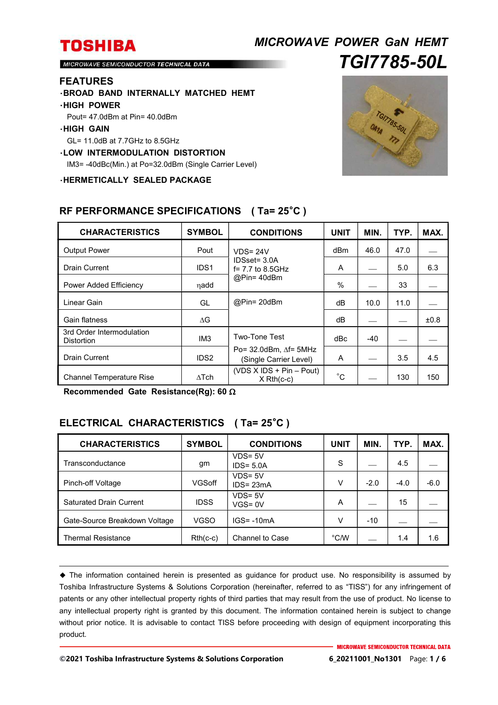# *MICROWAVE POWER GaN HEMT TGI7785-50L*

MICROWAVE SEMICONDUCTOR TECHNICAL DATA

#### **FEATURES**

・**BROAD BAND INTERNALLY MATCHED HEMT**

#### ・**HIGH POWER**

Pout= 47.0dBm at Pin= 40.0dBm

#### ・**HIGH GAIN**

GL= 11.0dB at 7.7GHz to 8.5GHz

#### ・**LOW INTERMODULATION DISTORTION**

IM3= -40dBc(Min.) at Po=32.0dBm (Single Carrier Level)

・**HERMETICALLY SEALED PACKAGE**



| <b>CHARACTERISTICS</b>                         | <b>SYMBOL</b>    | <b>CONDITIONS</b>                                              | <b>UNIT</b> | MIN.  | TYP. | MAX. |
|------------------------------------------------|------------------|----------------------------------------------------------------|-------------|-------|------|------|
| <b>Output Power</b>                            | Pout             | $VDS = 24V$                                                    | dBm         | 46.0  | 47.0 |      |
| <b>Drain Current</b>                           | IDS <sub>1</sub> | IDSset= 3.0A<br>$f = 7.7$ to 8.5GHz<br>@Pin= 40dBm             | A           |       | 5.0  | 6.3  |
| Power Added Efficiency                         | nadd             |                                                                | $\%$        |       | 33   |      |
| Linear Gain                                    | GL               | @Pin= 20dBm                                                    | dВ          | 10.0  | 11.0 |      |
| Gain flatness                                  | $\Delta G$       |                                                                | dВ          |       |      | ±0.8 |
| 3rd Order Intermodulation<br><b>Distortion</b> | IM <sub>3</sub>  | <b>Two-Tone Test</b>                                           | dBc         | $-40$ |      |      |
| <b>Drain Current</b>                           | IDS <sub>2</sub> | Po= $32.0$ dBm, $\Delta f$ = $5$ MHz<br>(Single Carrier Level) | A           |       | 3.5  | 4.5  |
| <b>Channel Temperature Rise</b>                | $\wedge$ Tch     | $(VDS X IDs + Pin - Pout)$<br>$X$ Rth(c-c)                     | $^{\circ}C$ |       | 130  | 150  |

## **RF PERFORMANCE SPECIFICATIONS ( Ta= 25**°**C )**

**Recommended Gate Resistance(Rg): 60** 

## **ELECTRICAL CHARACTERISTICS ( Ta= 25**°**C )**

| <b>CHARACTERISTICS</b>         | <b>SYMBOL</b> | <b>CONDITIONS</b>          | UNIT | MIN.   | TYP.   | MAX.   |
|--------------------------------|---------------|----------------------------|------|--------|--------|--------|
| Transconductance               | gm            | $VDS = 5V$<br>$IDS = 5.0A$ | S    |        | 4.5    |        |
| Pinch-off Voltage              | VGSoff        | $VDS = 5V$<br>$IDS = 23mA$ | V    | $-2.0$ | $-4.0$ | $-6.0$ |
| <b>Saturated Drain Current</b> | <b>IDSS</b>   | $VDS = 5V$<br>$VGS = 0V$   | A    |        | 15     |        |
| Gate-Source Breakdown Voltage  | VGSO          | $IGS = -10mA$              | v    | $-10$  |        |        |
| <b>Thermal Resistance</b>      | $Rth(c-c)$    | Channel to Case            | °C/W |        | 1.4    | 1.6    |

 The information contained herein is presented as guidance for product use. No responsibility is assumed by Toshiba Infrastructure Systems & Solutions Corporation (hereinafter, referred to as "TISS") for any infringement of patents or any other intellectual property rights of third parties that may result from the use of product. No license to any intellectual property right is granted by this document. The information contained herein is subject to change without prior notice. It is advisable to contact TISS before proceeding with design of equipment incorporating this product.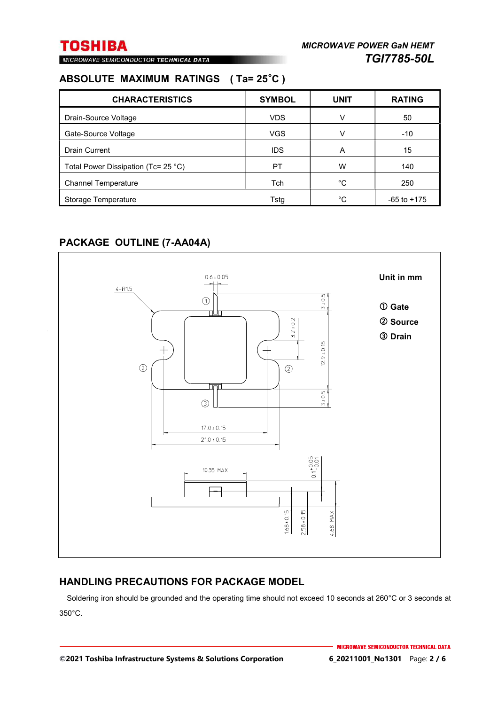MICROWAVE SEMICONDUCTOR TECHNICAL DATA

## **ABSOLUTE MAXIMUM RATINGS ( Ta= 25**°**C )**

| <b>CHARACTERISTICS</b>                        | <b>SYMBOL</b> | <b>UNIT</b> | <b>RATING</b>   |
|-----------------------------------------------|---------------|-------------|-----------------|
| Drain-Source Voltage                          | <b>VDS</b>    | v           | 50              |
| Gate-Source Voltage                           | <b>VGS</b>    | V           | $-10$           |
| <b>Drain Current</b>                          | <b>IDS</b>    | A           | 15              |
| Total Power Dissipation (Tc= 25 $^{\circ}$ C) | PT            | W           | 140             |
| <b>Channel Temperature</b>                    | <b>Tch</b>    | °C          | 250             |
| Storage Temperature                           | Tstg          | °C          | $-65$ to $+175$ |

## **PACKAGE OUTLINE (7-AA04A)**



## **HANDLING PRECAUTIONS FOR PACKAGE MODEL**

Soldering iron should be grounded and the operating time should not exceed 10 seconds at 260°C or 3 seconds at 350°C.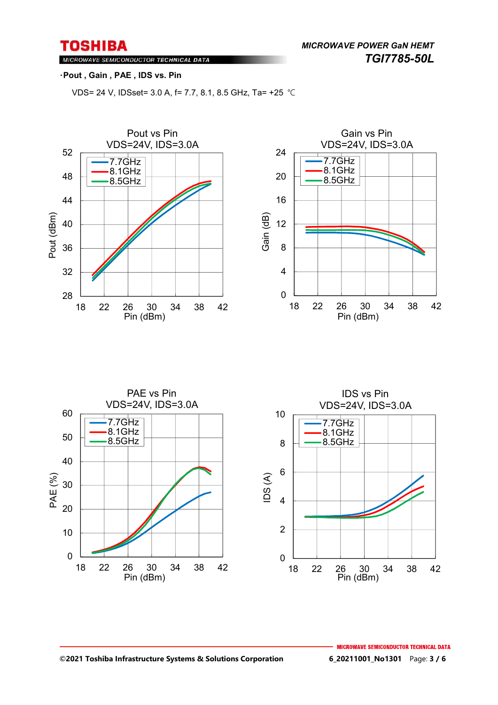*MICROWAVE POWER GaN HEMT TGI7785-50L* 

## MICROWAVE SEMICONDUCTOR TECHNICAL DATA

### ・**Pout , Gain , PAE , IDS vs. Pin**

VDS= 24 V, IDSset= 3.0 A, f= 7.7, 8.1, 8.5 GHz, Ta= +25 ℃





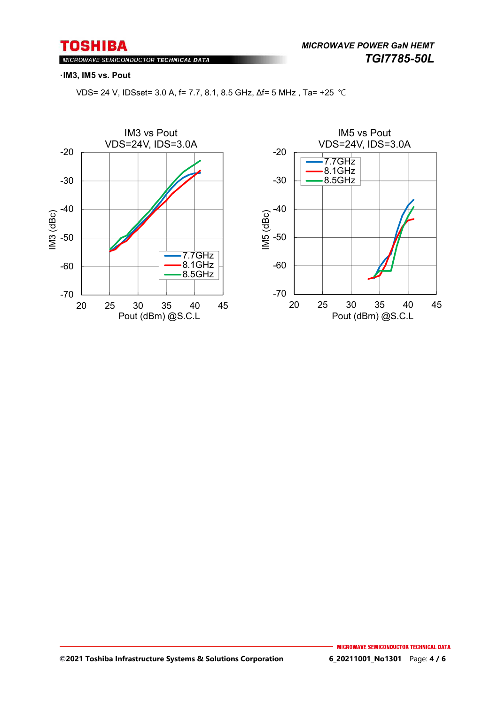MICROWAVE SEMICONDUCTOR TECHNICAL DATA

#### ・**IM3, IM5 vs. Pout**

VDS= 24 V, IDSset= 3.0 A, f= 7.7, 8.1, 8.5 GHz, Δf= 5 MHz , Ta= +25 ℃



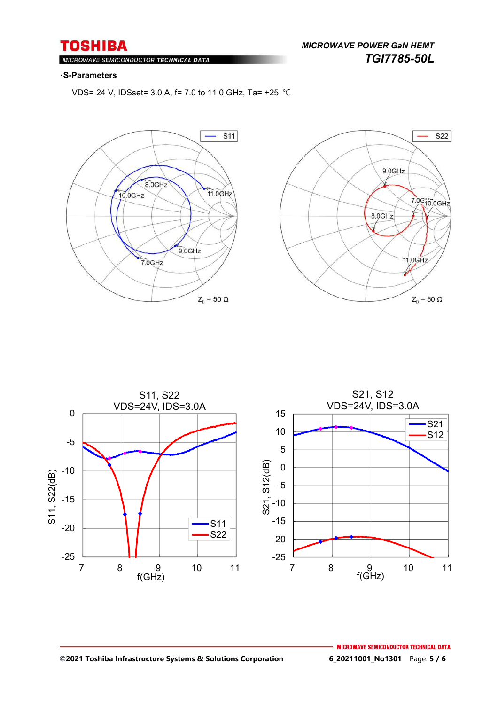*MICROWAVE POWER GaN HEMT TGI7785-50L* 

#### MIC ROWAVE SEMICONDUCTOR TECHNICAL DATA

#### ・**S-Parameters**

VDS= 24 V, IDSset= 3.0 A, f= 7.0 to 11.0 GHz, Ta= +25 ℃







#### **©2021 Toshiba Infrastructure Systems & Solutions Corporation 6\_20211001\_No1301** Page: **5 / 6**